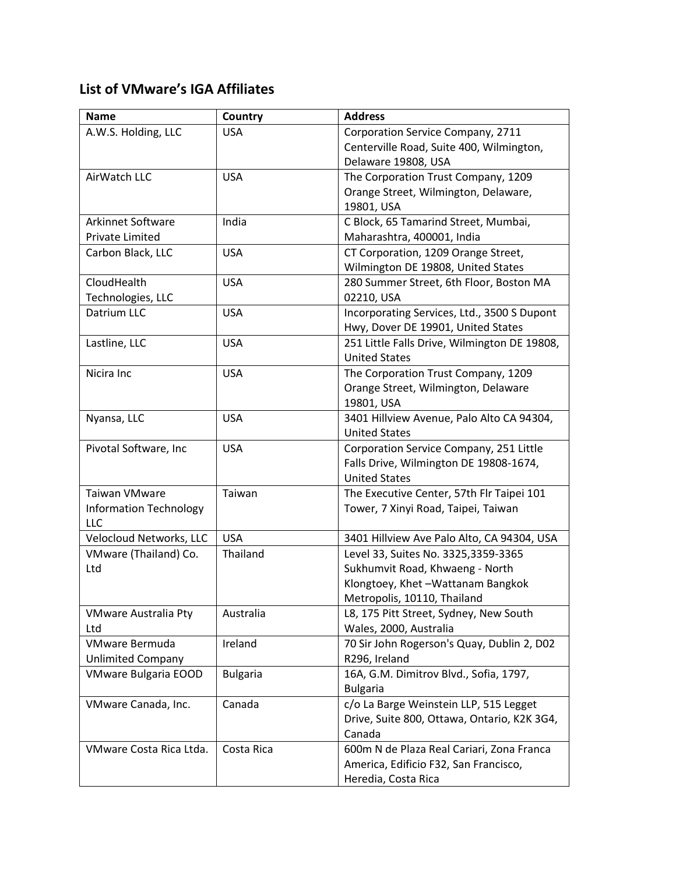## **List of VMware's IGA Affiliates**

| <b>Name</b>                   | Country         | <b>Address</b>                                                                    |
|-------------------------------|-----------------|-----------------------------------------------------------------------------------|
| A.W.S. Holding, LLC           | <b>USA</b>      | Corporation Service Company, 2711                                                 |
|                               |                 | Centerville Road, Suite 400, Wilmington,                                          |
|                               |                 | Delaware 19808, USA                                                               |
| AirWatch LLC                  | <b>USA</b>      | The Corporation Trust Company, 1209                                               |
|                               |                 | Orange Street, Wilmington, Delaware,                                              |
|                               |                 | 19801, USA                                                                        |
| <b>Arkinnet Software</b>      | India           | C Block, 65 Tamarind Street, Mumbai,                                              |
| <b>Private Limited</b>        |                 | Maharashtra, 400001, India                                                        |
| Carbon Black, LLC             | <b>USA</b>      | CT Corporation, 1209 Orange Street,                                               |
|                               |                 | Wilmington DE 19808, United States                                                |
| CloudHealth                   | <b>USA</b>      | 280 Summer Street, 6th Floor, Boston MA                                           |
| Technologies, LLC             |                 | 02210, USA                                                                        |
| Datrium LLC                   | <b>USA</b>      | Incorporating Services, Ltd., 3500 S Dupont<br>Hwy, Dover DE 19901, United States |
| Lastline, LLC                 | <b>USA</b>      | 251 Little Falls Drive, Wilmington DE 19808,                                      |
|                               |                 | <b>United States</b>                                                              |
| Nicira Inc                    | <b>USA</b>      | The Corporation Trust Company, 1209                                               |
|                               |                 | Orange Street, Wilmington, Delaware                                               |
|                               |                 | 19801, USA                                                                        |
| Nyansa, LLC                   | <b>USA</b>      | 3401 Hillview Avenue, Palo Alto CA 94304,                                         |
|                               |                 | <b>United States</b>                                                              |
| Pivotal Software, Inc         | <b>USA</b>      | Corporation Service Company, 251 Little                                           |
|                               |                 | Falls Drive, Wilmington DE 19808-1674,                                            |
|                               |                 | <b>United States</b>                                                              |
| <b>Taiwan VMware</b>          | Taiwan          | The Executive Center, 57th Flr Taipei 101                                         |
| <b>Information Technology</b> |                 | Tower, 7 Xinyi Road, Taipei, Taiwan                                               |
| <b>LLC</b>                    |                 |                                                                                   |
| Velocloud Networks, LLC       | <b>USA</b>      | 3401 Hillview Ave Palo Alto, CA 94304, USA                                        |
| VMware (Thailand) Co.         | Thailand        | Level 33, Suites No. 3325,3359-3365                                               |
| Ltd                           |                 | Sukhumvit Road, Khwaeng - North                                                   |
|                               |                 | Klongtoey, Khet-Wattanam Bangkok                                                  |
|                               |                 | Metropolis, 10110, Thailand                                                       |
| <b>VMware Australia Pty</b>   | Australia       | L8, 175 Pitt Street, Sydney, New South                                            |
| Ltd                           |                 | Wales, 2000, Australia                                                            |
| VMware Bermuda                | Ireland         | 70 Sir John Rogerson's Quay, Dublin 2, D02                                        |
| <b>Unlimited Company</b>      |                 | R296, Ireland                                                                     |
| <b>VMware Bulgaria EOOD</b>   | <b>Bulgaria</b> | 16A, G.M. Dimitrov Blvd., Sofia, 1797,                                            |
|                               |                 | <b>Bulgaria</b>                                                                   |
| VMware Canada, Inc.           | Canada          | c/o La Barge Weinstein LLP, 515 Legget                                            |
|                               |                 | Drive, Suite 800, Ottawa, Ontario, K2K 3G4,                                       |
|                               |                 | Canada                                                                            |
| VMware Costa Rica Ltda.       | Costa Rica      | 600m N de Plaza Real Cariari, Zona Franca                                         |
|                               |                 | America, Edificio F32, San Francisco,                                             |
|                               |                 | Heredia, Costa Rica                                                               |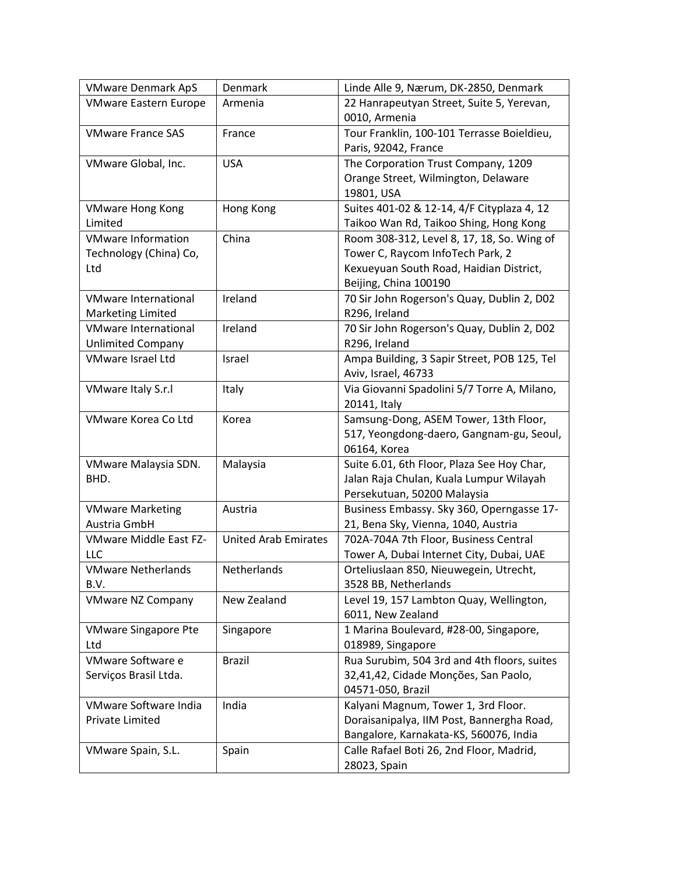| <b>VMware Denmark ApS</b>    | Denmark                     | Linde Alle 9, Nærum, DK-2850, Denmark       |
|------------------------------|-----------------------------|---------------------------------------------|
| <b>VMware Eastern Europe</b> | Armenia                     | 22 Hanrapeutyan Street, Suite 5, Yerevan,   |
|                              |                             | 0010, Armenia                               |
| <b>VMware France SAS</b>     | France                      | Tour Franklin, 100-101 Terrasse Boieldieu,  |
|                              |                             | Paris, 92042, France                        |
| VMware Global, Inc.          | <b>USA</b>                  | The Corporation Trust Company, 1209         |
|                              |                             | Orange Street, Wilmington, Delaware         |
|                              |                             | 19801, USA                                  |
| <b>VMware Hong Kong</b>      | Hong Kong                   | Suites 401-02 & 12-14, 4/F Cityplaza 4, 12  |
| Limited                      |                             | Taikoo Wan Rd, Taikoo Shing, Hong Kong      |
| <b>VMware Information</b>    | China                       | Room 308-312, Level 8, 17, 18, So. Wing of  |
| Technology (China) Co,       |                             | Tower C, Raycom InfoTech Park, 2            |
| Ltd                          |                             | Kexueyuan South Road, Haidian District,     |
|                              |                             | Beijing, China 100190                       |
| <b>VMware International</b>  | Ireland                     | 70 Sir John Rogerson's Quay, Dublin 2, D02  |
| <b>Marketing Limited</b>     |                             | R296, Ireland                               |
| <b>VMware International</b>  | Ireland                     | 70 Sir John Rogerson's Quay, Dublin 2, D02  |
| <b>Unlimited Company</b>     |                             | R296, Ireland                               |
| <b>VMware Israel Ltd</b>     | Israel                      | Ampa Building, 3 Sapir Street, POB 125, Tel |
|                              |                             | Aviv, Israel, 46733                         |
| VMware Italy S.r.l           | Italy                       | Via Giovanni Spadolini 5/7 Torre A, Milano, |
|                              |                             | 20141, Italy                                |
| VMware Korea Co Ltd          | Korea                       | Samsung-Dong, ASEM Tower, 13th Floor,       |
|                              |                             | 517, Yeongdong-daero, Gangnam-gu, Seoul,    |
|                              |                             | 06164, Korea                                |
| VMware Malaysia SDN.         | Malaysia                    | Suite 6.01, 6th Floor, Plaza See Hoy Char,  |
| BHD.                         |                             | Jalan Raja Chulan, Kuala Lumpur Wilayah     |
|                              |                             | Persekutuan, 50200 Malaysia                 |
| <b>VMware Marketing</b>      | Austria                     | Business Embassy. Sky 360, Operngasse 17-   |
| Austria GmbH                 |                             | 21, Bena Sky, Vienna, 1040, Austria         |
| VMware Middle East FZ-       | <b>United Arab Emirates</b> | 702A-704A 7th Floor, Business Central       |
| LLC                          |                             | Tower A, Dubai Internet City, Dubai, UAE    |
| <b>VMware Netherlands</b>    | Netherlands                 | Orteliuslaan 850, Nieuwegein, Utrecht,      |
| B.V.                         |                             | 3528 BB, Netherlands                        |
| <b>VMware NZ Company</b>     | New Zealand                 | Level 19, 157 Lambton Quay, Wellington,     |
|                              |                             | 6011, New Zealand                           |
| <b>VMware Singapore Pte</b>  | Singapore                   | 1 Marina Boulevard, #28-00, Singapore,      |
| Ltd                          |                             | 018989, Singapore                           |
| VMware Software e            | <b>Brazil</b>               | Rua Surubim, 504 3rd and 4th floors, suites |
| Serviços Brasil Ltda.        |                             | 32,41,42, Cidade Monções, San Paolo,        |
|                              |                             | 04571-050, Brazil                           |
| VMware Software India        | India                       | Kalyani Magnum, Tower 1, 3rd Floor.         |
| Private Limited              |                             | Doraisanipalya, IIM Post, Bannergha Road,   |
|                              |                             | Bangalore, Karnakata-KS, 560076, India      |
| VMware Spain, S.L.           | Spain                       | Calle Rafael Boti 26, 2nd Floor, Madrid,    |
|                              |                             | 28023, Spain                                |